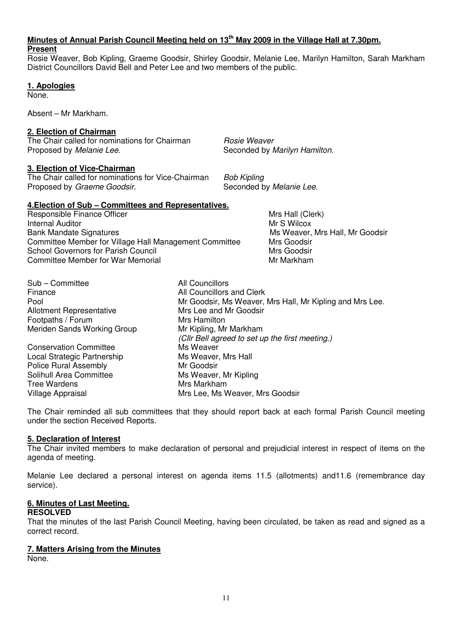## **Minutes of Annual Parish Council Meeting held on 13th May 2009 in the Village Hall at 7.30pm.**

#### **Present**

Rosie Weaver, Bob Kipling, Graeme Goodsir, Shirley Goodsir, Melanie Lee, Marilyn Hamilton, Sarah Markham District Councillors David Bell and Peter Lee and two members of the public.

**1. Apologies**

None.

Absent – Mr Markham.

## **2. Election of Chairman**

The Chair called for nominations for Chairman *Rosie Weaver*<br>Proposed by *Melanie Lee.* Seconded by *I* 

## **3. Election of Vice-Chairman**

The Chair called for nominations for Vice-Chairman Bob Kipling Proposed by Graeme Goodsir. Seconded by Melanie Lee.

Seconded by Marilyn Hamilton.

## **4.Election of Sub – Committees and Representatives.**

| Responsible Finance Officer                            |  |
|--------------------------------------------------------|--|
| Internal Auditor                                       |  |
| Bank Mandate Signatures                                |  |
| Committee Member for Village Hall Management Committee |  |
| School Governors for Parish Council                    |  |
| Committee Member for War Memorial                      |  |
|                                                        |  |

Mrs Hall (Clerk) **Mr S Wilcox** Ms Weaver, Mrs Hall, Mr Goodsir Mrs Goodsir Mrs Goodsir Mr Markham

| Sub - Committee                 | All Councillors                                          |
|---------------------------------|----------------------------------------------------------|
| Finance                         | All Councillors and Clerk                                |
| Pool                            | Mr Goodsir, Ms Weaver, Mrs Hall, Mr Kipling and Mrs Lee. |
| <b>Allotment Representative</b> | Mrs Lee and Mr Goodsir                                   |
| Footpaths / Forum               | Mrs Hamilton                                             |
| Meriden Sands Working Group     | Mr Kipling, Mr Markham                                   |
|                                 | (Cllr Bell agreed to set up the first meeting.)          |
| <b>Conservation Committee</b>   | Ms Weaver                                                |
| Local Strategic Partnership     | Ms Weaver, Mrs Hall                                      |
| <b>Police Rural Assembly</b>    | Mr Goodsir                                               |
| Solihull Area Committee         | Ms Weaver, Mr Kipling                                    |
| Tree Wardens                    | Mrs Markham                                              |
| Village Appraisal               | Mrs Lee, Ms Weaver, Mrs Goodsir                          |

The Chair reminded all sub committees that they should report back at each formal Parish Council meeting under the section Received Reports.

## **5. Declaration of Interest**

The Chair invited members to make declaration of personal and prejudicial interest in respect of items on the agenda of meeting.

Melanie Lee declared a personal interest on agenda items 11.5 (allotments) and11.6 (remembrance day service).

## **6. Minutes of Last Meeting.**

#### **RESOLVED**

That the minutes of the last Parish Council Meeting, having been circulated, be taken as read and signed as a correct record.

## **7. Matters Arising from the Minutes**

None.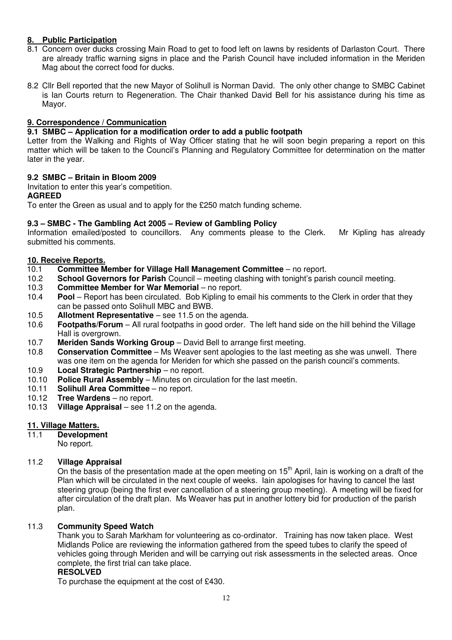#### **8. Public Participation**

- 8.1 Concern over ducks crossing Main Road to get to food left on lawns by residents of Darlaston Court. There are already traffic warning signs in place and the Parish Council have included information in the Meriden Mag about the correct food for ducks.
- 8.2 Cllr Bell reported that the new Mayor of Solihull is Norman David. The only other change to SMBC Cabinet is Ian Courts return to Regeneration. The Chair thanked David Bell for his assistance during his time as Mayor.

#### **9. Correspondence / Communication**

#### **9.1 SMBC – Application for a modification order to add a public footpath**

Letter from the Walking and Rights of Way Officer stating that he will soon begin preparing a report on this matter which will be taken to the Council's Planning and Regulatory Committee for determination on the matter later in the year.

#### **9.2 SMBC – Britain in Bloom 2009**

Invitation to enter this year's competition.

#### **AGREED**

To enter the Green as usual and to apply for the £250 match funding scheme.

#### **9.3 – SMBC - The Gambling Act 2005 – Review of Gambling Policy**

Information emailed/posted to councillors. Any comments please to the Clerk. Mr Kipling has already submitted his comments.

#### **10. Receive Reports.**

- 10.1 **Committee Member for Village Hall Management Committee** no report.
- 10.2 **School Governors for Parish** Council meeting clashing with tonight's parish council meeting.
- 10.3 **Committee Member for War Memorial** no report.
- 10.4 **Pool** Report has been circulated. Bob Kipling to email his comments to the Clerk in order that they can be passed onto Solihull MBC and BWB.
- 10.5 **Allotment Representative** see 11.5 on the agenda.
- 10.6 **Footpaths/Forum** All rural footpaths in good order. The left hand side on the hill behind the Village Hall is overgrown.
- 10.7 **Meriden Sands Working Group** David Bell to arrange first meeting.
- 10.8 **Conservation Committee** Ms Weaver sent apologies to the last meeting as she was unwell. There was one item on the agenda for Meriden for which she passed on the parish council's comments.
- 10.9 **Local Strategic Partnership** no report.
- 10.10 **Police Rural Assembly** Minutes on circulation for the last meetin.
- 10.11 **Solihull Area Committee** no report.
- 10.12 **Tree Wardens** no report.
- 10.13 **Village Appraisal** see 11.2 on the agenda.

#### **11. Village Matters.**

11.1 **Development** 

No report.

#### 11.2 **Village Appraisal**

On the basis of the presentation made at the open meeting on  $15<sup>th</sup>$  April, Iain is working on a draft of the Plan which will be circulated in the next couple of weeks. Iain apologises for having to cancel the last steering group (being the first ever cancellation of a steering group meeting). A meeting will be fixed for after circulation of the draft plan. Ms Weaver has put in another lottery bid for production of the parish plan.

#### 11.3 **Community Speed Watch**

Thank you to Sarah Markham for volunteering as co-ordinator. Training has now taken place. West Midlands Police are reviewing the information gathered from the speed tubes to clarify the speed of vehicles going through Meriden and will be carrying out risk assessments in the selected areas. Once complete, the first trial can take place.

#### **RESOLVED**

To purchase the equipment at the cost of £430.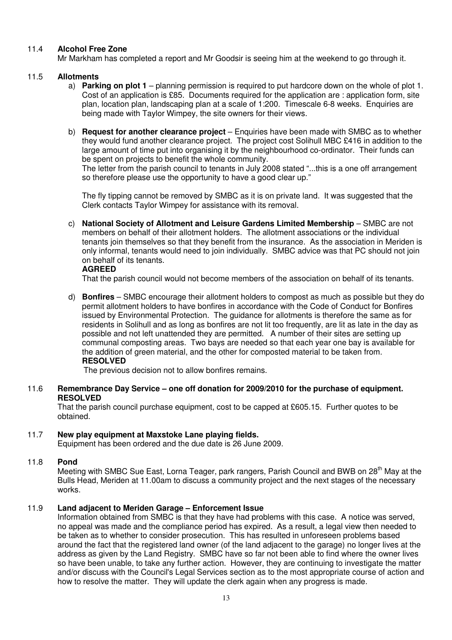#### 11.4 **Alcohol Free Zone**

Mr Markham has completed a report and Mr Goodsir is seeing him at the weekend to go through it.

#### 11.5 **Allotments**

- a) **Parking on plot 1** planning permission is required to put hardcore down on the whole of plot 1. Cost of an application is £85. Documents required for the application are : application form, site plan, location plan, landscaping plan at a scale of 1:200. Timescale 6-8 weeks. Enquiries are being made with Taylor Wimpey, the site owners for their views.
- b) **Request for another clearance project**  Enquiries have been made with SMBC as to whether they would fund another clearance project. The project cost Solihull MBC £416 in addition to the large amount of time put into organising it by the neighbourhood co-ordinator. Their funds can be spent on projects to benefit the whole community.

The letter from the parish council to tenants in July 2008 stated "...this is a one off arrangement so therefore please use the opportunity to have a good clear up."

The fly tipping cannot be removed by SMBC as it is on private land. It was suggested that the Clerk contacts Taylor Wimpey for assistance with its removal.

c) **National Society of Allotment and Leisure Gardens Limited Membership** – SMBC are not members on behalf of their allotment holders. The allotment associations or the individual tenants join themselves so that they benefit from the insurance. As the association in Meriden is only informal, tenants would need to join individually. SMBC advice was that PC should not join on behalf of its tenants.

#### **AGREED**

That the parish council would not become members of the association on behalf of its tenants.

d) **Bonfires** – SMBC encourage their allotment holders to compost as much as possible but they do permit allotment holders to have bonfires in accordance with the Code of Conduct for Bonfires issued by Environmental Protection. The guidance for allotments is therefore the same as for residents in Solihull and as long as bonfires are not lit too frequently, are lit as late in the day as possible and not left unattended they are permitted. A number of their sites are setting up communal composting areas. Two bays are needed so that each year one bay is available for the addition of green material, and the other for composted material to be taken from. **RESOLVED** 

The previous decision not to allow bonfires remains.

11.6 **Remembrance Day Service – one off donation for 2009/2010 for the purchase of equipment. RESOLVED** 

That the parish council purchase equipment, cost to be capped at £605.15. Further quotes to be obtained.

#### 11.7 **New play equipment at Maxstoke Lane playing fields.**

Equipment has been ordered and the due date is 26 June 2009.

#### 11.8 **Pond**

Meeting with SMBC Sue East, Lorna Teager, park rangers, Parish Council and BWB on 28<sup>th</sup> Mav at the Bulls Head, Meriden at 11.00am to discuss a community project and the next stages of the necessary works.

#### 11.9 **Land adjacent to Meriden Garage – Enforcement Issue**

Information obtained from SMBC is that they have had problems with this case. A notice was served, no appeal was made and the compliance period has expired. As a result, a legal view then needed to be taken as to whether to consider prosecution. This has resulted in unforeseen problems based around the fact that the registered land owner (of the land adjacent to the garage) no longer lives at the address as given by the Land Registry. SMBC have so far not been able to find where the owner lives so have been unable, to take any further action. However, they are continuing to investigate the matter and/or discuss with the Council's Legal Services section as to the most appropriate course of action and how to resolve the matter. They will update the clerk again when any progress is made.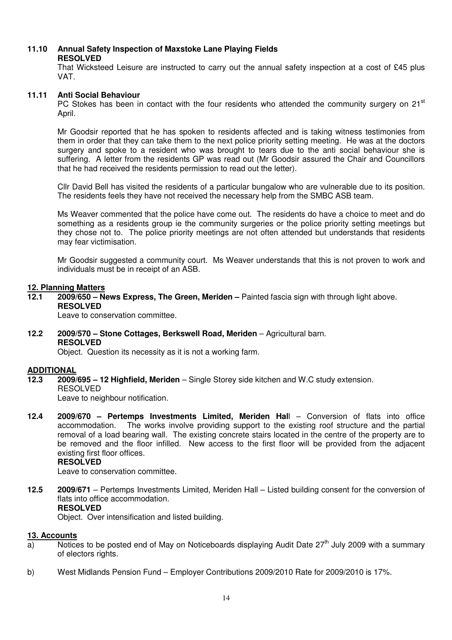# **11.10 Annual Safety Inspection of Maxstoke Lane Playing Fields**

#### **RESOLVED**

That Wicksteed Leisure are instructed to carry out the annual safety inspection at a cost of £45 plus VAT.

#### **11.11 Anti Social Behaviour**

PC Stokes has been in contact with the four residents who attended the community surgery on  $21<sup>st</sup>$ April.

Mr Goodsir reported that he has spoken to residents affected and is taking witness testimonies from them in order that they can take them to the next police priority setting meeting. He was at the doctors surgery and spoke to a resident who was brought to tears due to the anti social behaviour she is suffering. A letter from the residents GP was read out (Mr Goodsir assured the Chair and Councillors that he had received the residents permission to read out the letter).

Cllr David Bell has visited the residents of a particular bungalow who are vulnerable due to its position. The residents feels they have not received the necessary help from the SMBC ASB team.

Ms Weaver commented that the police have come out. The residents do have a choice to meet and do something as a residents group ie the community surgeries or the police priority setting meetings but they chose not to. The police priority meetings are not often attended but understands that residents may fear victimisation.

Mr Goodsir suggested a community court. Ms Weaver understands that this is not proven to work and individuals must be in receipt of an ASB.

#### **12. Planning Matters**

**12.1 2009/650 – News Express, The Green, Meriden –** Painted fascia sign with through light above. **RESOLVED** 

Leave to conservation committee.

**12.2 2009/570 – Stone Cottages, Berkswell Road, Meriden** – Agricultural barn. **RESOLVED** 

Object. Question its necessity as it is not a working farm.

#### **ADDITIONAL**

**12.3 2009/695 – 12 Highfield, Meriden** – Single Storey side kitchen and W.C study extension. RESOLVED

Leave to neighbour notification.

**12.4 2009/670 – Pertemps Investments Limited, Meriden Hal**l – Conversion of flats into office accommodation. The works involve providing support to the existing roof structure and the partial removal of a load bearing wall. The existing concrete stairs located in the centre of the property are to be removed and the floor infilled. New access to the first floor will be provided from the adjacent existing first floor offices.

## **RESOLVED**

Leave to conservation committee.

**12.5 2009/671** – Pertemps Investments Limited, Meriden Hall – Listed building consent for the conversion of flats into office accommodation. **RESOLVED** 

Object. Over intensification and listed building.

#### **13. Accounts**

- $\overline{a}$  Notices to be posted end of May on Noticeboards displaying Audit Date 27<sup>th</sup> July 2009 with a summary of electors rights.
- b) West Midlands Pension Fund Employer Contributions 2009/2010 Rate for 2009/2010 is 17%.